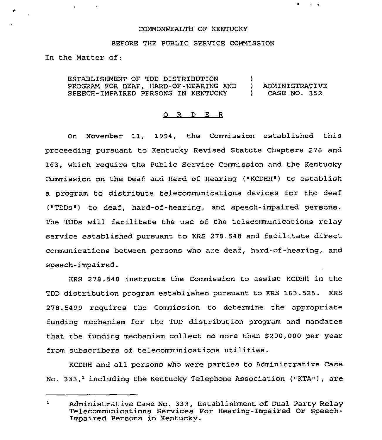## COMMONWEALTH OF KENTUCKY

## BEFORE THE PUBLIC SERVICE COMMISSION

In the Matter of:

ESTABLISHMENT OF TDD DISTRIBUTION )<br>PROGRAM FOR DEAF. HARD-OF-HEARING AND ) PROGRAM FOR DEAF, HARD-OF-HEARING AND ) ADMINISTRATIVE SPEECH-IMPAIRED PERSONS IN KENTUCKY

## 0 R <sup>D</sup> E <sup>R</sup>

On November 11, 1994, the Commission established this proceeding pursuant to Kentucky Revised Statute Chapters 278 and 163, which require the Public Sexvice Commission and the Kentucky Commission on the Deaf and Hard of Hearing ("KCDHH") to establish a pxogram to distribute telecommunications devices for the deaf ("TDDs") to deaf, hard-of-hearing, and speech-impaired persons. The TDDs will facilitate the use of the telecommunications relay service established pursuant to KRS 278.548 and facilitate direct communications between persons who axe deaf, hard-of-hearing, and speech-impaixed.

KRS 278.548 instructs the Commission to assist KCDHH in the TDD distribution program established pursuant to KRS 163.525. KRS 278.5499 requires the Commission to determine the appropriate funding mechanism for the TDD distribution program and mandatee that the funding mechanism collect no more than \$200,000 per year from subscribers of telecommunications utilities.

KCDHH and all persons who were parties to Administrative Case No. 333,<sup>1</sup> including the Kentucky Telephone Association ("KTA"), are

 $\mathbf{1}$ Administrative Case No. 333, Establishment of Dual Party Relay Telecommunications Services For Hearing-Impaired Or Speech-Impaired Persons in Kentucky.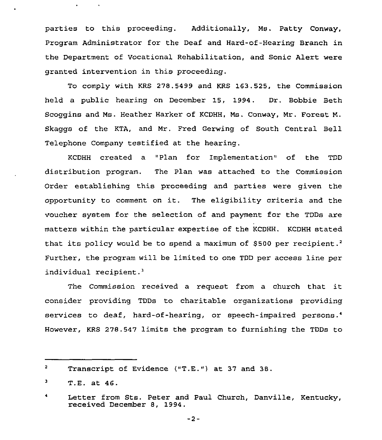parties to this proceeding. Additionally, Ms. Patty Conway, Program Administrator for the Deaf and Hard-of-Hearing Branch in the Department of Vocational Rehabilitation, and Sonic Alert were granted intervention in this proceeding.

To comply with KRS 278.5499 and KRS 163.525, the Commission held a public hearing on December 15, 1994. Dr. Bobbie Beth Scoggins and Ms. Heather Harker of KCDHH, Ms. Conway, Mr. Forest N. Skaggs of the KTA, and Mr. Fred Gerwing of South Central Bell Telephone Company testified at the hearing.

KCDHH created a "Plan for Implementation" of the TDD distribution program. The Plan was attached to the Commission Order establishing this proceeding and parties were given the opportunity to comment on it. The eligibility criteria and the voucher system for the selection of and payment for the TDDs are matters within the particular expertise of the KCDHH. KCDHH stated that its policy would be to spend a maximum of \$500 per recipient.<sup>2</sup> Further, the program will be limited to one TDD per access line per individual recipient.<sup>3</sup>

The Commission received a request from a church that it consider providing TDDs to charitable organizations providing services to deaf, hard-of-hearing, or speech-impaired persons.4 However, KRS 278.547 limits the program to furnishing the TDDs to

 $\overline{\mathbf{z}}$ Transcript of Evidence ("T.E.") at 37 and 38.

<sup>3</sup> T.E. at 46.

Letter from Sts. Peter and Paul Church, Danville, Kentucky, received December 8, 1994.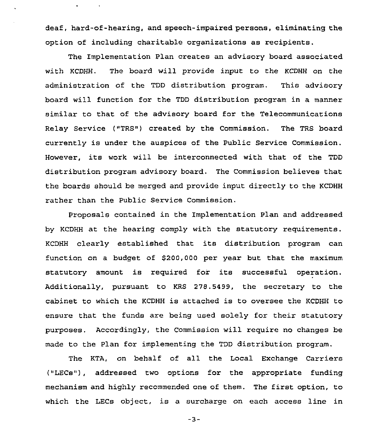deaf, hard-of-hearing, and speech-impaired persons, eliminating the option of including charitable organizations as recipients.

The Implementation Plan creates an advisory board associated with KCDHH. The board will provide input to the KCDHH on the administration of the TDD distribution program. This advisory board will function for the TDD distribution program in a manner similar to that of the advisory board for the Telecommunications Relay Service ("TRS") created by the Commission. The TRS board currently is under the auspices of the Public Service Commission. However, its work will be interconnected with that of the TDD distribution program advisory board. The Commission believes that the boaxds should be merged and provide input directly to the KCDHH rather than the Public Service Commission.

Pxoposals contained in the Implementation Plan and addressed by KCDHH at the hearing comply with the statutory requirements. KCDHH clearly established that its distribution program can function on a budget of S200,000 per year but that the maximum statutory amount is required for its successful operation. Additionally, pursuant to KRS 278.5499, the secretary to the cabinet to which the KCDHH is attached is to oversee the KCDHH to ensure that the funds are being used solely for their statutory purposes. Accordingly, the Commission will require no changes be made to the Plan for implementing the TDD distribution program.

The KTA, on behalf of all the Local Exchange Carriers ("LECs"), addressed two options for the appropriate funding mechanism and highly recommended one of them. The first option, to which the LECs object, is a surcharge on each access line in

 $-3-$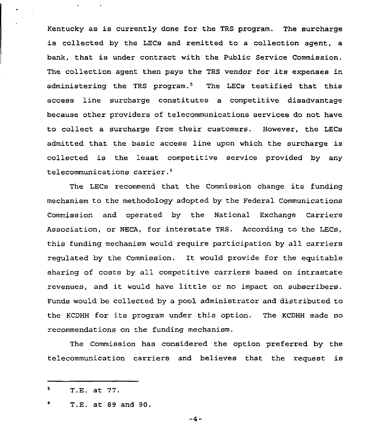Kentucky as is currently done for the TRS program. The surcharge is collected by the LECs and remitted to a collection agent, a bank, that is under contract with the Public Service Commission. The collection agent then pays the TRS vendor for its expenses in administering the TRS program.<sup>5</sup> The LECs testified that this access line surcharge constitutes a competitive disadvantage because other providers of telecommunications services do not have to collect a surcharge from their customers. However, the LECs admitted that the basic access line upon which the surcharge is collected is the least competitive service provided by any telecommunications carrier.<sup>6</sup>

LECs recommend that the Commission change its funding mechanism to the methodology adopted by the Federal Communications Commission and operated by the National Exchange Carriers Association, or NECA, for interstate TRS. According to the LECs, this funding mechanism would require participation by all carriers regulated by the Commission. It would provide for the equitable sharing of costs by all competitive carriers based on intrastate revenues, and it would have little or no impact on subscribers. Funds would be collected by a pool administrator and distributed to the KCDHH for its program under this option. The KCDHH made no recommendations on the funding mechanism.

The Commission has considered the option preferred by the telecommunication carriers and believes that the request is

 $-4-$ 

<sup>5</sup> T.E. at 77.

<sup>6</sup> T.E. at 89 and 90.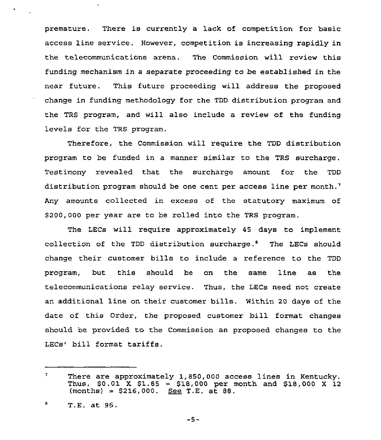premature. There is currently a lack of competition for basic access line service. However, competition is increasing rapidly in the telecommunications arena. The Commission will review this funding mechanism in a separate proceeding to be established in the near future. This future proceeding will address the proposed change in funding methodology for the TDD distribution program and the TRS program, and will also include a review of the funding levels for the TRS program.

Therefore, the Commission will require the TDD distribution program to be funded in a manner similar to the TRS surcharge. Testimony revealed that the surcharge amount for the TDD distribution program should be one cent per access line per month.<sup>7</sup> amounts collected in excess of the statutory maximum of \$200,000 per year are to be rolled into the TRS program.

The LECs will require approximately 45 days to implement collection of the TDD distribution surcharge.<sup>6</sup> The LECs should change their customer bills to include a reference to the TDD program, but this should be on the same line as the telecommunications relay service. Thus, the LECs need not create an additional line on their customer bills. Within <sup>20</sup> days of the date of this Order, the proposed customer bill format changes should be provided to the Commission as proposed changes to the LECs' bill format tariffs.

 $7<sup>1</sup>$ There are approximately 1,850,000 access lines in Kentucky. Thus, \$0.01 <sup>X</sup> \$1.85 <sup>=</sup> \$18,000 per month and \$18,000 <sup>X</sup> 12  $(months) = $216,000. ~ \underline{See} T.E. a\overline{t} 88.$ 

T.E. at 95.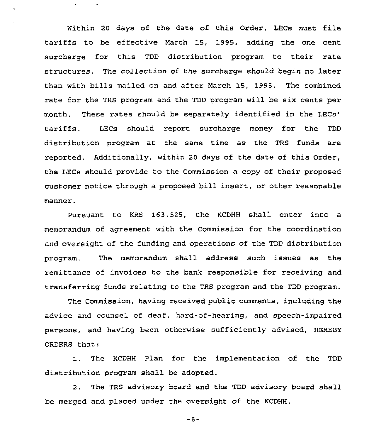Within <sup>20</sup> days of the date of this Order, LECs must file tariffs to be effective March 15, 1995, adding the one cent surcharge for this TDD distribution program to their rate structures. The collection of the surcharge should begin no later than with bills mailed on and after March 15, 1995. The combined rate for the TRS program and the TDD program will be six cents per month. These rates should be separately identified in the LECs should report surcharge money for the TDD tariffs. distribution program at the same time as the TRS funds are reported. Additionally, within 20 days of the date of this Order, the LECs should provide to the Commission a copy of their proposed customer notice through a proposed bill insert, or other reasonable mannex.

 $\mathbf{r}$ 

 $\mathcal{L}_{\mathbf{r}}$ 

Pursuant to KRS 163.525, the KCDHH shall enter into a memorandum of agreement with the Commission for the coordination and ovexsight of the funding and operations of the TDD distribution program. The memorandum shall address such issues as the remittance of invoices to the bank responsible for receiving and transferring funds relating to the TRS program and the TDD program.

The Commission, having received public comments, including the advice and counsel of deaf, hard-of-hearing, and speech-impaired persons, and having been otherwise sufficiently advised, HEREBY ORDERS that:

1. The KCDHH Plan for the implementation of the TDD distribution program shall be adopted.

2. The TRS advisory board and the TDD advisory board shall be merged and placed under the oversight of the KCDHH.

 $-6-$